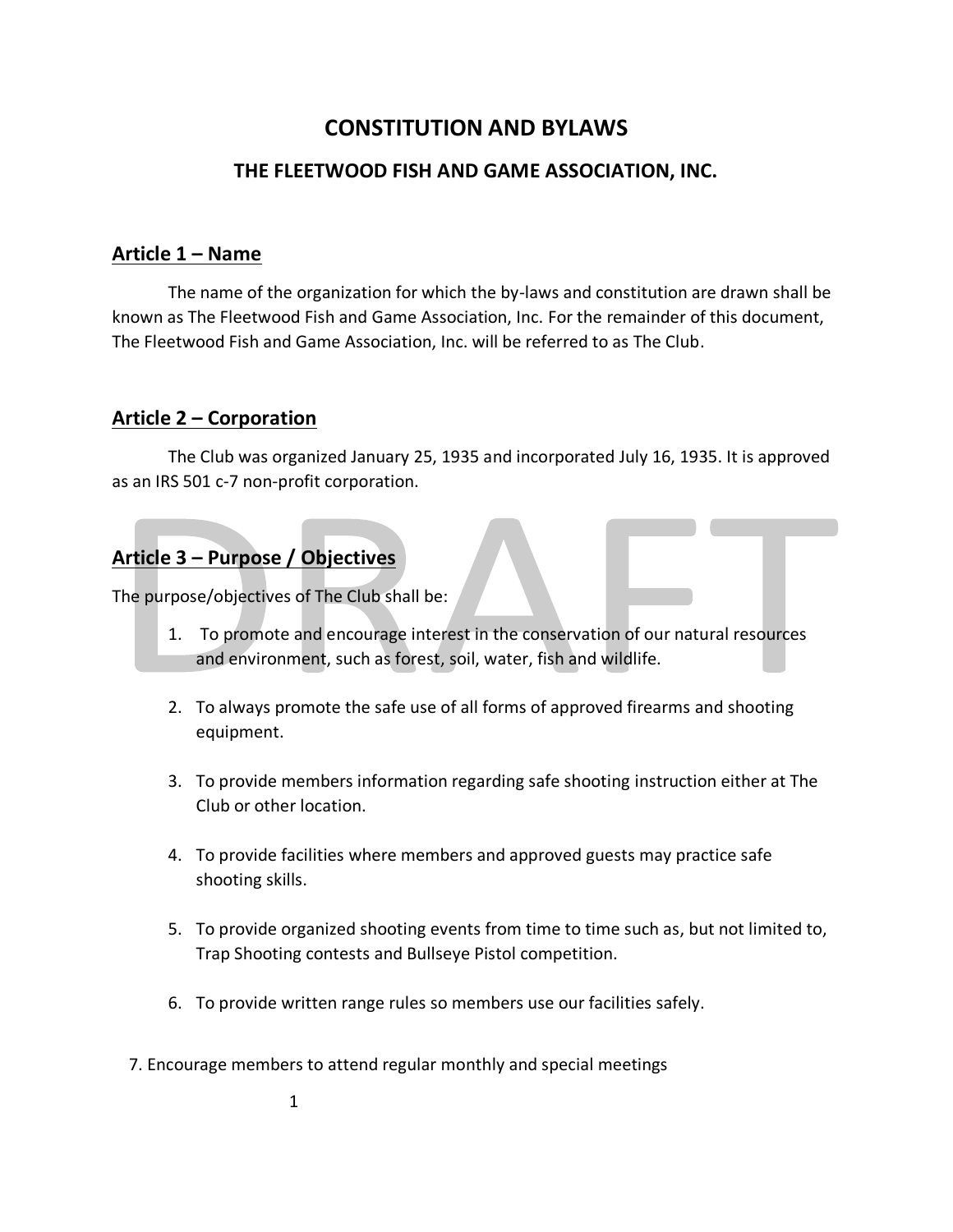# **CONSTITUTION AND BYLAWS**

#### **THE FLEETWOOD FISH AND GAME ASSOCIATION, INC.**

#### **Article 1 – Name**

The name of the organization for which the by-laws and constitution are drawn shall be known as The Fleetwood Fish and Game Association, Inc. For the remainder of this document, The Fleetwood Fish and Game Association, Inc. will be referred to as The Club.

#### **Article 2 – Corporation**

The Club was organized January 25, 1935 and incorporated July 16, 1935. It is approved as an IRS 501 c-7 non-profit corporation.

## **Article 3 – Purpose / Objectives**

The purpose/objectives of The Club shall be:

- 1. To promote and encourage interest in the conservation of our natural resources and environment, such as forest, soil, water, fish and wildlife.
- 2. To always promote the safe use of all forms of approved firearms and shooting equipment.
- 3. To provide members information regarding safe shooting instruction either at The Club or other location.
- 4. To provide facilities where members and approved guests may practice safe shooting skills.
- 5. To provide organized shooting events from time to time such as, but not limited to, Trap Shooting contests and Bullseye Pistol competition.
- 6. To provide written range rules so members use our facilities safely.
- 7. Encourage members to attend regular monthly and special meetings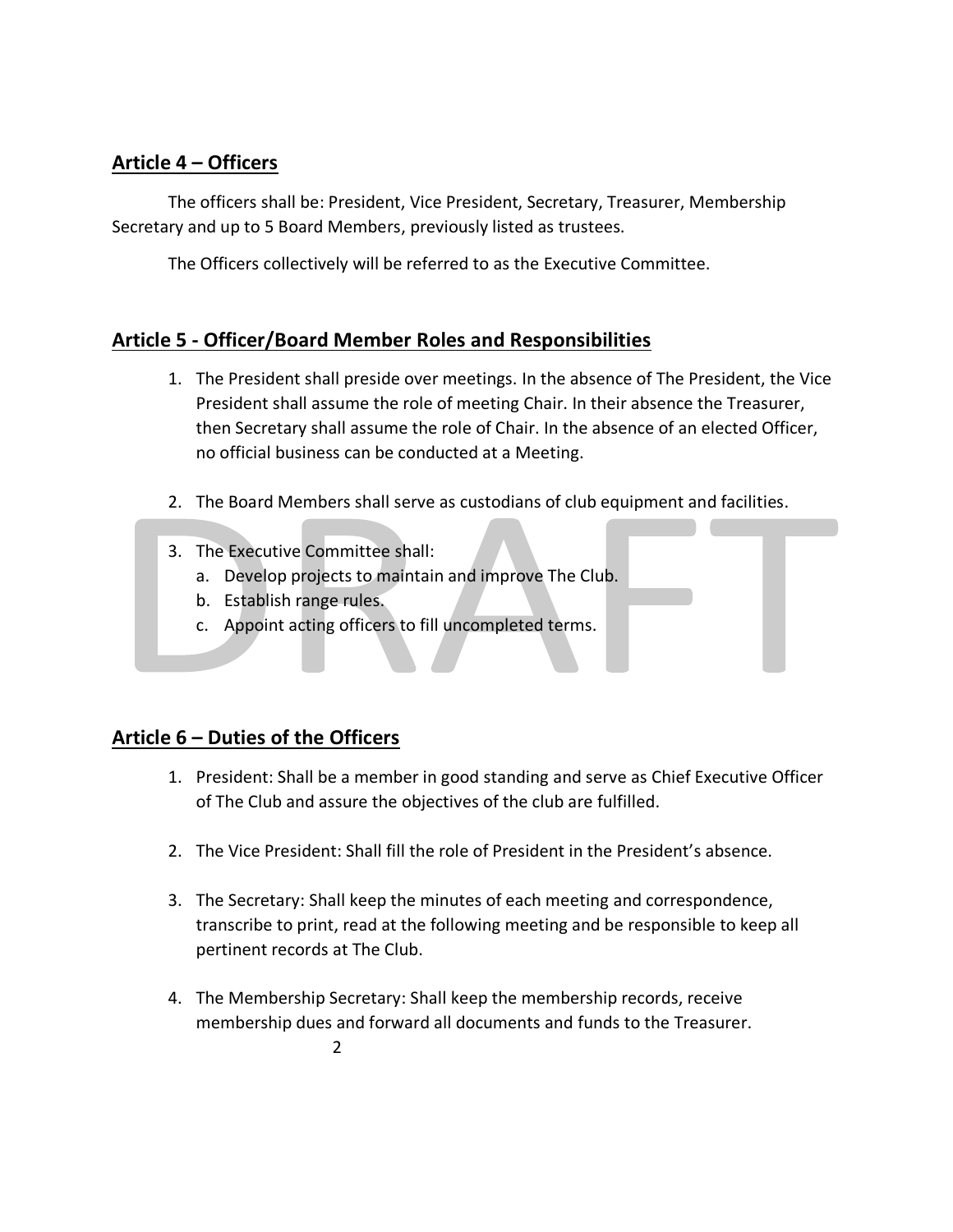# **Article 4 – Officers**

The officers shall be: President, Vice President, Secretary, Treasurer, Membership Secretary and up to 5 Board Members, previously listed as trustees.

The Officers collectively will be referred to as the Executive Committee.

## **Article 5 - Officer/Board Member Roles and Responsibilities**

- 1. The President shall preside over meetings. In the absence of The President, the Vice President shall assume the role of meeting Chair. In their absence the Treasurer, then Secretary shall assume the role of Chair. In the absence of an elected Officer, no official business can be conducted at a Meeting.
- 2. The Board Members shall serve as custodians of club equipment and facilities.
- 3. The Executive Committee shall:
	- a. Develop projects to maintain and improve The Club.
	- b. Establish range rules.
	- c. Appoint acting officers to fill uncompleted terms.

#### **Article 6 – Duties of the Officers**

- 1. President: Shall be a member in good standing and serve as Chief Executive Officer of The Club and assure the objectives of the club are fulfilled.
- 2. The Vice President: Shall fill the role of President in the President's absence.
- 3. The Secretary: Shall keep the minutes of each meeting and correspondence, transcribe to print, read at the following meeting and be responsible to keep all pertinent records at The Club.
- 4. The Membership Secretary: Shall keep the membership records, receive membership dues and forward all documents and funds to the Treasurer.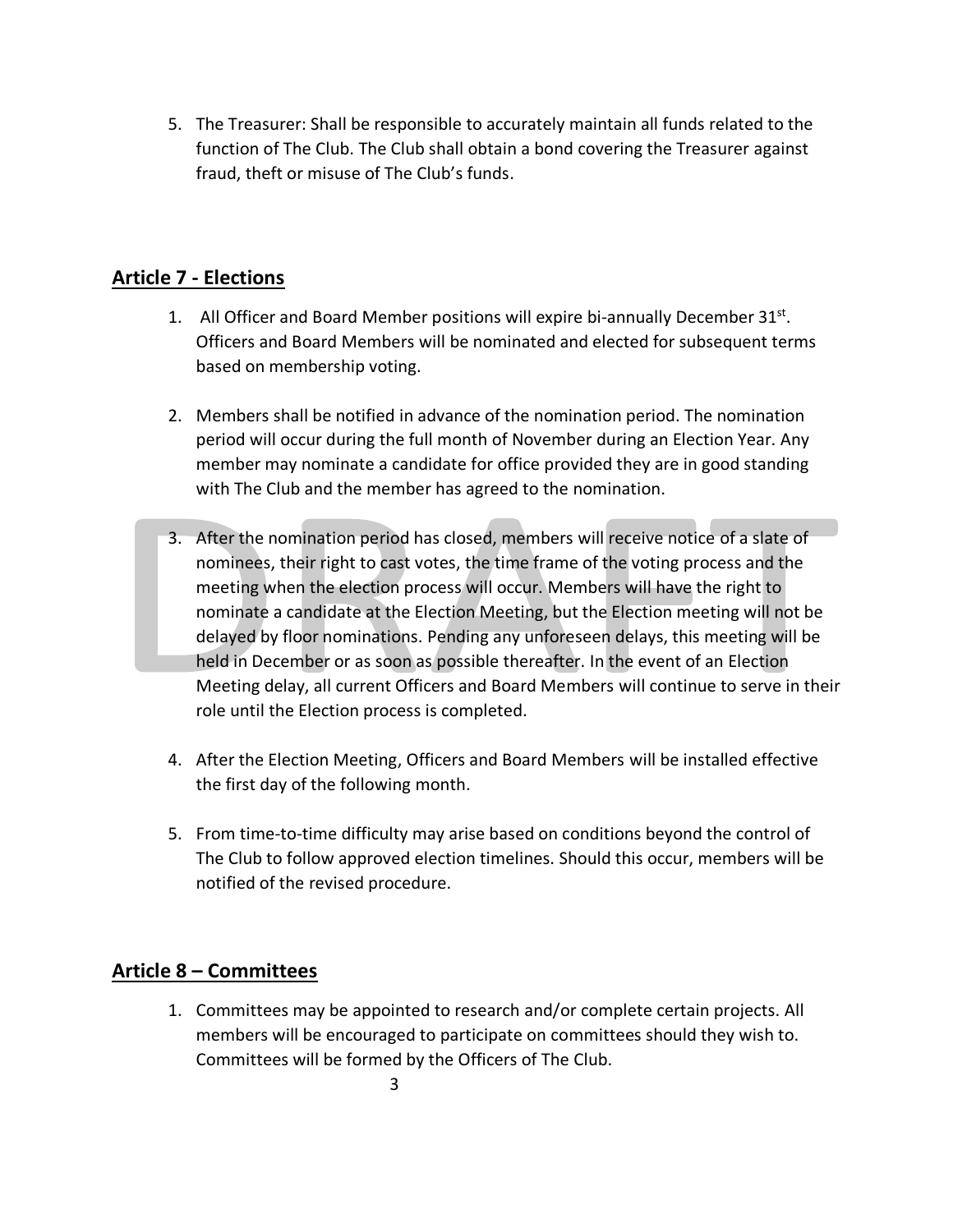5. The Treasurer: Shall be responsible to accurately maintain all funds related to the function of The Club. The Club shall obtain a bond covering the Treasurer against fraud, theft or misuse of The Club's funds.

#### **Article 7 - Elections**

- 1. All Officer and Board Member positions will expire bi-annually December  $31^{st}$ . Officers and Board Members will be nominated and elected for subsequent terms based on membership voting.
- 2. Members shall be notified in advance of the nomination period. The nomination period will occur during the full month of November during an Election Year. Any member may nominate a candidate for office provided they are in good standing with The Club and the member has agreed to the nomination.
- 3. After the nomination period has closed, members will receive notice of a slate of nominees, their right to cast votes, the time frame of the voting process and the meeting when the election process will occur. Members will have the right to nominate a candidate at the Election Meeting, but the Election meeting will not be delayed by floor nominations. Pending any unforeseen delays, this meeting will be held in December or as soon as possible thereafter. In the event of an Election Meeting delay, all current Officers and Board Members will continue to serve in their role until the Election process is completed.
- 4. After the Election Meeting, Officers and Board Members will be installed effective the first day of the following month.
- 5. From time-to-time difficulty may arise based on conditions beyond the control of The Club to follow approved election timelines. Should this occur, members will be notified of the revised procedure.

# **Article 8 – Committees**

1. Committees may be appointed to research and/or complete certain projects. All members will be encouraged to participate on committees should they wish to. Committees will be formed by the Officers of The Club.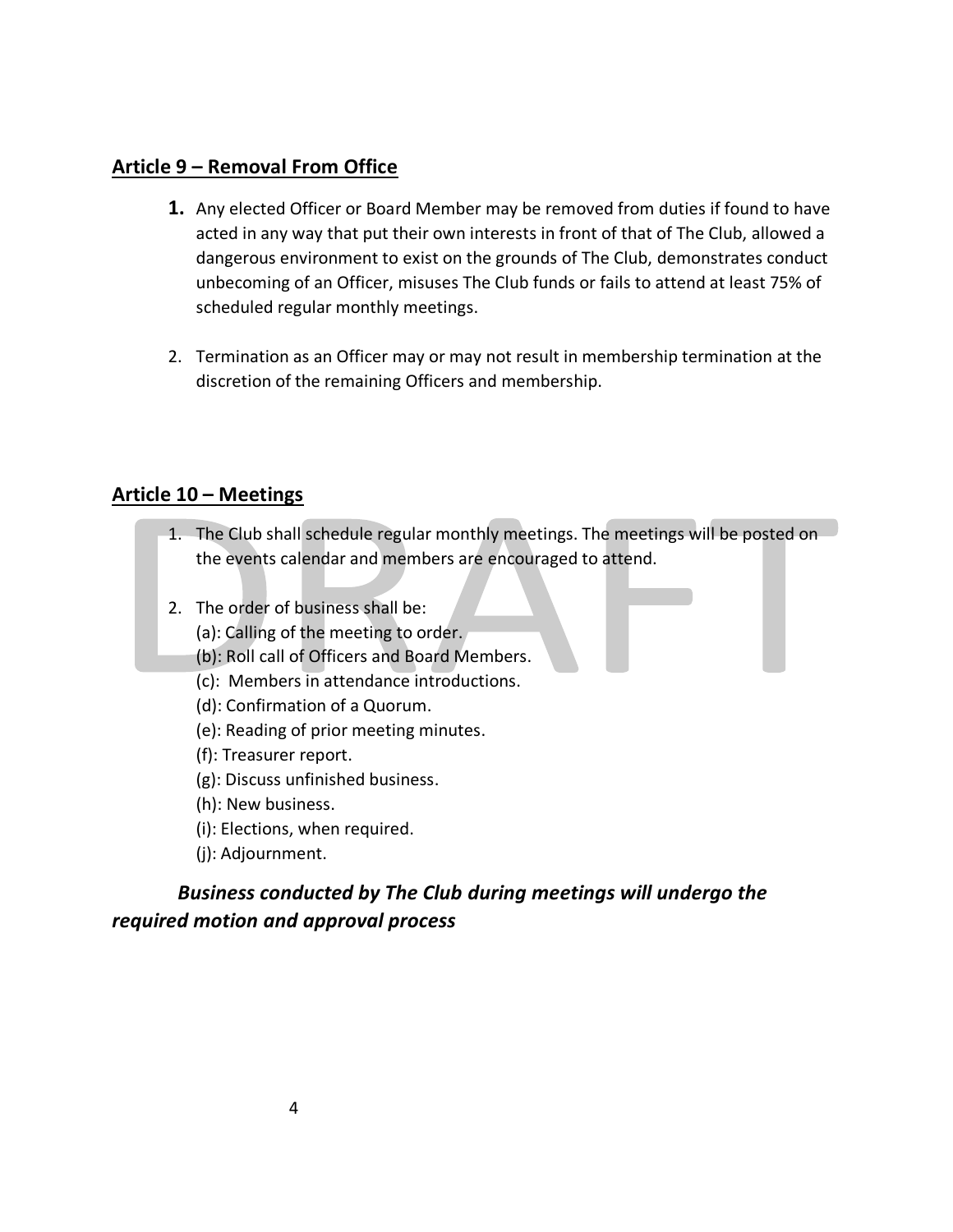### **Article 9 – Removal From Office**

- **1.** Any elected Officer or Board Member may be removed from duties if found to have acted in any way that put their own interests in front of that of The Club, allowed a dangerous environment to exist on the grounds of The Club, demonstrates conduct unbecoming of an Officer, misuses The Club funds or fails to attend at least 75% of scheduled regular monthly meetings.
- 2. Termination as an Officer may or may not result in membership termination at the discretion of the remaining Officers and membership.

## **Article 10 – Meetings**

- 1. The Club shall schedule regular monthly meetings. The meetings will be posted on the events calendar and members are encouraged to attend.
- 2. The order of business shall be:
	- (a): Calling of the meeting to order.
	- (b): Roll call of Officers and Board Members.
	- (c): Members in attendance introductions.
	- (d): Confirmation of a Quorum.
	- (e): Reading of prior meeting minutes.
	- (f): Treasurer report.
	- (g): Discuss unfinished business.
	- (h): New business.
	- (i): Elections, when required.
	- (j): Adjournment.

# *Business conducted by The Club during meetings will undergo the required motion and approval process*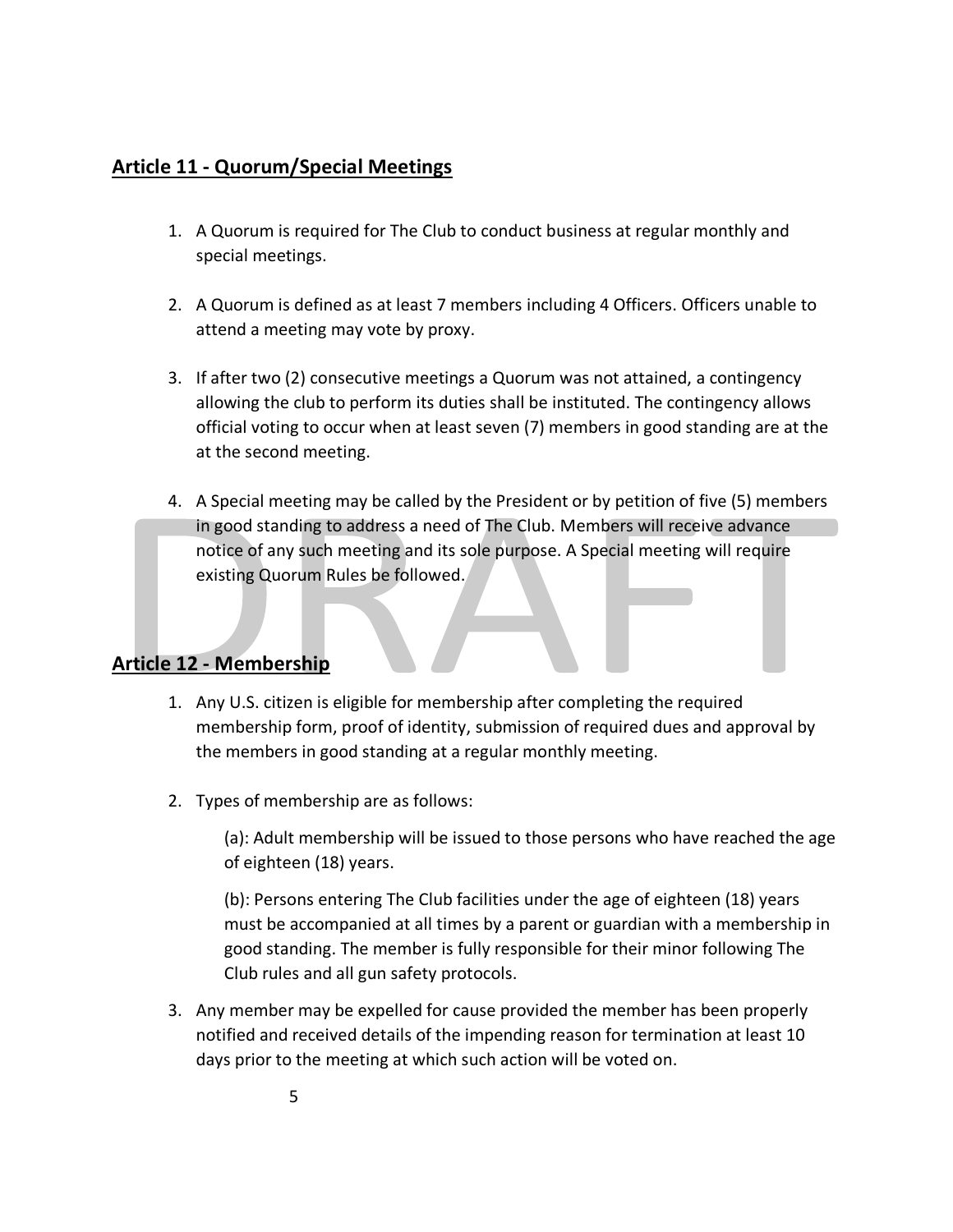## **Article 11 - Quorum/Special Meetings**

- 1. A Quorum is required for The Club to conduct business at regular monthly and special meetings.
- 2. A Quorum is defined as at least 7 members including 4 Officers. Officers unable to attend a meeting may vote by proxy.
- 3. If after two (2) consecutive meetings a Quorum was not attained, a contingency allowing the club to perform its duties shall be instituted. The contingency allows official voting to occur when at least seven (7) members in good standing are at the at the second meeting.
- 4. A Special meeting may be called by the President or by petition of five (5) members in good standing to address a need of The Club. Members will receive advance notice of any such meeting and its sole purpose. A Special meeting will require existing Quorum Rules be followed.

# **Article 12 - Membership**

- 1. Any U.S. citizen is eligible for membership after completing the required membership form, proof of identity, submission of required dues and approval by the members in good standing at a regular monthly meeting.
- 2. Types of membership are as follows:

(a): Adult membership will be issued to those persons who have reached the age of eighteen (18) years.

(b): Persons entering The Club facilities under the age of eighteen (18) years must be accompanied at all times by a parent or guardian with a membership in good standing. The member is fully responsible for their minor following The Club rules and all gun safety protocols.

3. Any member may be expelled for cause provided the member has been properly notified and received details of the impending reason for termination at least 10 days prior to the meeting at which such action will be voted on.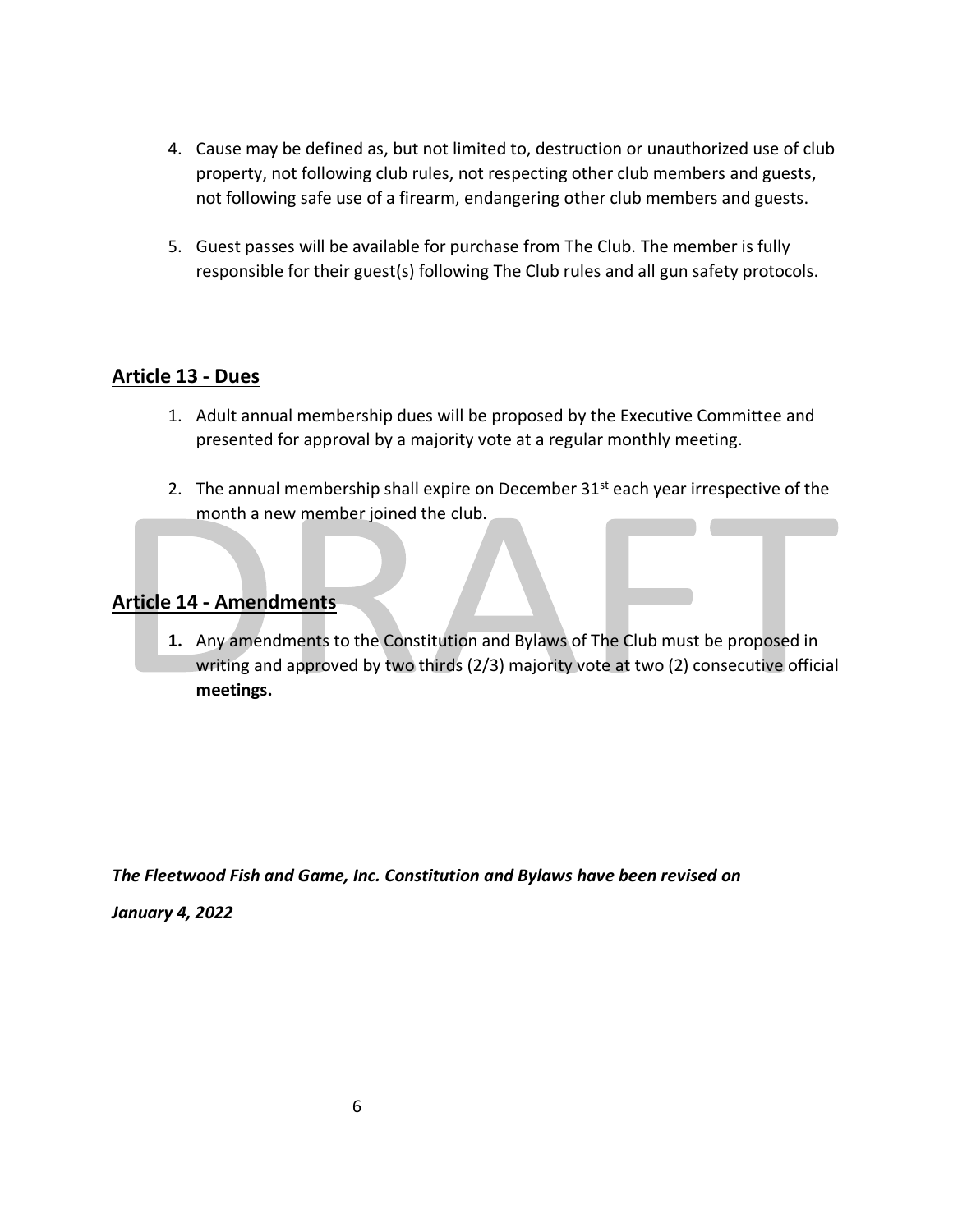- 4. Cause may be defined as, but not limited to, destruction or unauthorized use of club property, not following club rules, not respecting other club members and guests, not following safe use of a firearm, endangering other club members and guests.
- 5. Guest passes will be available for purchase from The Club. The member is fully responsible for their guest(s) following The Club rules and all gun safety protocols.

#### **Article 13 - Dues**

- 1. Adult annual membership dues will be proposed by the Executive Committee and presented for approval by a majority vote at a regular monthly meeting.
- 2. The annual membership shall expire on December  $31<sup>st</sup>$  each year irrespective of the month a new member joined the club.

#### **Article 14 - Amendments**

**1.** Any amendments to the Constitution and Bylaws of The Club must be proposed in writing and approved by two thirds (2/3) majority vote at two (2) consecutive official **meetings.**

*The Fleetwood Fish and Game, Inc. Constitution and Bylaws have been revised on* 

*January 4, 2022*